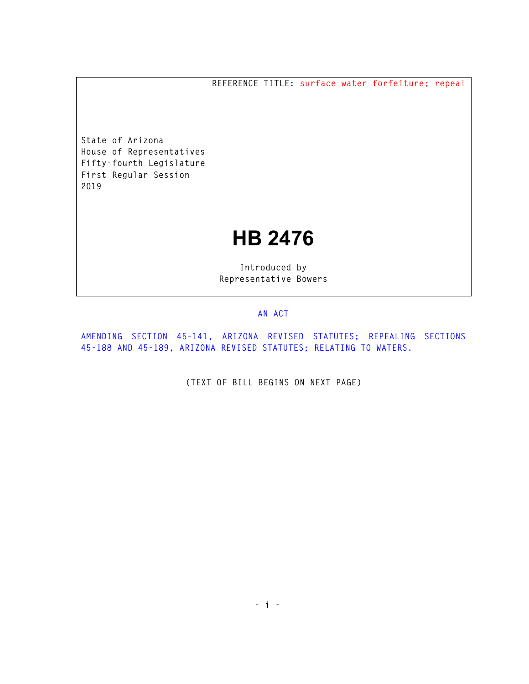**REFERENCE TITLE: surface water forfeiture; repeal** 

**State of Arizona House of Representatives Fifty-fourth Legislature First Regular Session 2019** 

## **HB 2476**

**Introduced by Representative Bowers** 

## **AN ACT**

**AMENDING SECTION 45-141, ARIZONA REVISED STATUTES; REPEALING SECTIONS 45-188 AND 45-189, ARIZONA REVISED STATUTES; RELATING TO WATERS.** 

**(TEXT OF BILL BEGINS ON NEXT PAGE)**